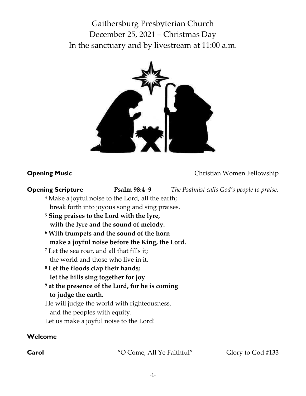Gaithersburg Presbyterian Church December 25, 2021 – Christmas Day In the sanctuary and by livestream at 11:00 a.m.



**Opening Music** Christian Women Fellowship

**Opening Scripture Psalm 98:4–9** *The Psalmist calls God's people to praise.* 

- <sup>4</sup> Make a joyful noise to the Lord, all the earth; break forth into joyous song and sing praises.
- **<sup>5</sup> Sing praises to the Lord with the lyre, with the lyre and the sound of melody.**
- **<sup>6</sup> With trumpets and the sound of the horn make a joyful noise before the King, the Lord.**
- <sup>7</sup> Let the sea roar, and all that fills it; the world and those who live in it.
- **<sup>8</sup> Let the floods clap their hands; let the hills sing together for joy**
- **<sup>9</sup> at the presence of the Lord, for he is coming to judge the earth.**
- He will judge the world with righteousness,
	- and the peoples with equity.
- Let us make a joyful noise to the Lord!

## **Welcome**

**Carol** "O Come, All Ye Faithful" Glory to God #133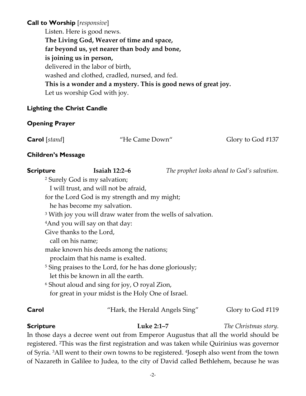# **Call to Worship** [*responsive*]

Listen. Here is good news. **The Living God, Weaver of time and space, far beyond us, yet nearer than body and bone, is joining us in person,** delivered in the labor of birth, washed and clothed, cradled, nursed, and fed. **This is a wonder and a mystery. This is good news of great joy.** Let us worship God with joy.

### **Lighting the Christ Candle**

## **Opening Prayer**

**Carol** [stand] "He Came Down" Glory to God #137

### **Children's Message**

| <b>Scripture</b>      | <b>Isaiah 12:2-6</b>                                                   | The prophet looks ahead to God's salvation.  |
|-----------------------|------------------------------------------------------------------------|----------------------------------------------|
|                       | <sup>2</sup> Surely God is my salvation;                               |                                              |
|                       | I will trust, and will not be afraid,                                  |                                              |
|                       | for the Lord God is my strength and my might;                          |                                              |
|                       | he has become my salvation.                                            |                                              |
|                       | <sup>3</sup> With joy you will draw water from the wells of salvation. |                                              |
|                       | <sup>4</sup> And you will say on that day:                             |                                              |
|                       | Give thanks to the Lord,                                               |                                              |
|                       | call on his name;                                                      |                                              |
|                       | make known his deeds among the nations;                                |                                              |
|                       | proclaim that his name is exalted.                                     |                                              |
|                       | <sup>5</sup> Sing praises to the Lord, for he has done gloriously;     |                                              |
|                       | let this be known in all the earth.                                    |                                              |
|                       | <sup>6</sup> Shout aloud and sing for joy, O royal Zion,               |                                              |
|                       | for great in your midst is the Holy One of Israel.                     |                                              |
| $\Gamma$ and $\Gamma$ | "Houle the Houald Angels $\lim_{n}$ "                                  | $Cl2$ $\cdots$ $L2$ $C2$ $\lambda$ $\pm$ 110 |

## **Carol** "Hark, the Herald Angels Sing" Glory to God #119

**Scripture Luke 2:1–7** *The Christmas story.*

In those days a decree went out from Emperor Augustus that all the world should be registered. <sup>2</sup>This was the first registration and was taken while Quirinius was governor of Syria. <sup>3</sup>All went to their own towns to be registered. <sup>4</sup> Joseph also went from the town of Nazareth in Galilee to Judea, to the city of David called Bethlehem, because he was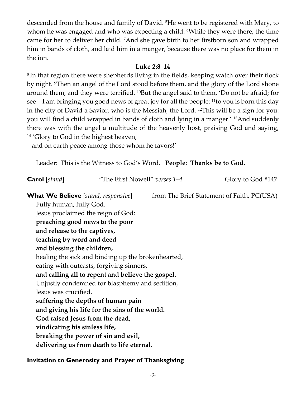descended from the house and family of David. <sup>5</sup>He went to be registered with Mary, to whom he was engaged and who was expecting a child. While they were there, the time came for her to deliver her child. <sup>7</sup>And she gave birth to her firstborn son and wrapped him in bands of cloth, and laid him in a manger, because there was no place for them in the inn.

### **Luke 2:8–14**

 $^{\rm 8}$ In that region there were shepherds living in the fields, keeping watch over their flock by night. Then an angel of the Lord stood before them, and the glory of the Lord shone around them, and they were terrified. <sup>10</sup>But the angel said to them, 'Do not be afraid; for see—I am bringing you good news of great joy for all the people: <sup>11</sup>to you is born this day in the city of David a Savior, who is the Messiah, the Lord. <sup>12</sup>This will be a sign for you: you will find a child wrapped in bands of cloth and lying in a manger.' <sup>13</sup>And suddenly there was with the angel a multitude of the heavenly host, praising God and saying, <sup>14</sup> 'Glory to God in the highest heaven,

and on earth peace among those whom he favors!'

Leader: This is the Witness to God's Word. **People: Thanks be to God.**

| <b>Carol</b> [stand]                               | "The First Nowell" verses 1–4                     |  | Glory to God #147                          |  |
|----------------------------------------------------|---------------------------------------------------|--|--------------------------------------------|--|
| <b>What We Believe</b> [stand, responsive]         |                                                   |  | from The Brief Statement of Faith, PC(USA) |  |
| Fully human, fully God.                            |                                                   |  |                                            |  |
|                                                    | Jesus proclaimed the reign of God:                |  |                                            |  |
|                                                    | preaching good news to the poor                   |  |                                            |  |
| and release to the captives,                       |                                                   |  |                                            |  |
| teaching by word and deed                          |                                                   |  |                                            |  |
| and blessing the children,                         |                                                   |  |                                            |  |
| healing the sick and binding up the brokenhearted, |                                                   |  |                                            |  |
|                                                    | eating with outcasts, forgiving sinners,          |  |                                            |  |
|                                                    | and calling all to repent and believe the gospel. |  |                                            |  |
| Unjustly condemned for blasphemy and sedition,     |                                                   |  |                                            |  |
| Jesus was crucified,                               |                                                   |  |                                            |  |
|                                                    | suffering the depths of human pain                |  |                                            |  |
| and giving his life for the sins of the world.     |                                                   |  |                                            |  |
| God raised Jesus from the dead,                    |                                                   |  |                                            |  |
| vindicating his sinless life,                      |                                                   |  |                                            |  |
|                                                    | breaking the power of sin and evil,               |  |                                            |  |
|                                                    | delivering us from death to life eternal.         |  |                                            |  |

## **Invitation to Generosity and Prayer of Thanksgiving**